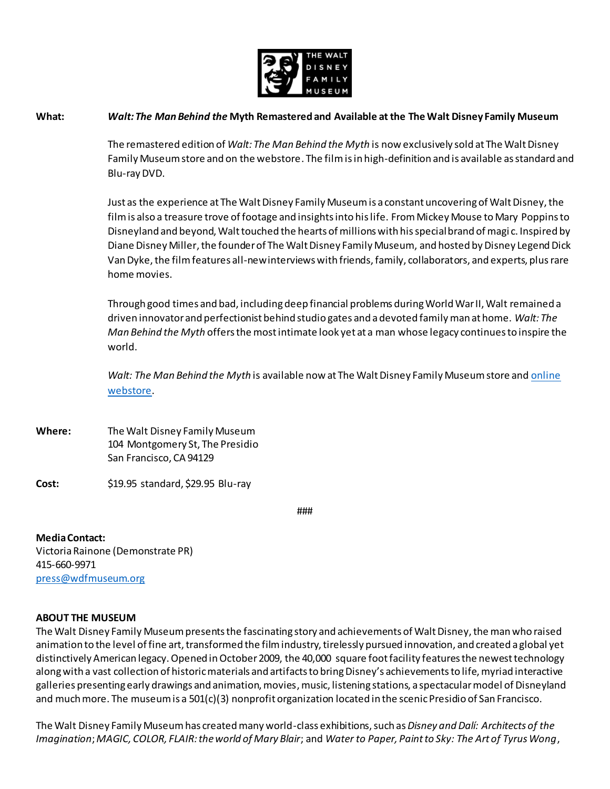

## **What:** *Walt: The Man Behind the* **Myth Remastered and Available at the The Walt Disney Family Museum**

The remastered edition of *Walt: The Man Behind the Myth* is now exclusively sold at The Walt Disney Family Museum store and on the webstore. The film is in high-definition and is available as standard and Blu-ray DVD.

Just as the experience at The Walt Disney Family Museum is a constant uncovering of Walt Disney, the film is also a treasure trove of footage and insights into his life. From Mickey Mouse to Mary Poppins to Disneyland and beyond, Walt touched the hearts of millions with his special brand of magi c. Inspired by Diane Disney Miller, the founder of The Walt Disney Family Museum, and hosted by Disney Legend Dick Van Dyke, the film features all-new interviews with friends, family, collaborators, and experts, plus rare home movies.

Through good times and bad, including deep financial problems during World War II, Walt remained a driven innovator and perfectionist behind studio gates and a devoted family man at home. *Walt: The Man Behind the Myth* offers the most intimate look yet at a man whose legacy continues to inspire the world.

*Walt: The Man Behind the Myth* is available now at The Walt Disney Family Museum store an[d online](http://store.wdfmuseum.org/)  [webstore](http://store.wdfmuseum.org/).

**Where:** The Walt Disney Family Museum 104 Montgomery St, The Presidio San Francisco, CA 94129

**Cost:** \$19.95 standard, \$29.95 Blu-ray

###

**Media Contact:**

Victoria Rainone (Demonstrate PR) 415-660-9971 [press@wdfmuseum.org](mailto:press@wdfmuseum.org)

## **ABOUT THE MUSEUM**

The Walt Disney Family Museum presents the fascinating story and achievements of Walt Disney, the man who raised animation to the level of fine art, transformed the film industry, tirelessly pursued innovation, and created a global yet distinctively American legacy. Opened in October 2009, the 40,000 square foot facility features the newest technology along with a vast collection of historic materials and artifacts to bring Disney's achievements to life, myriad interactive galleries presenting early drawings and animation, movies, music, listening stations, a spectacular model of Disneyland and much more. The museum is a 501(c)(3) nonprofit organization located in the scenic Presidio of San Francisco.

The Walt Disney Family Museum has created many world-class exhibitions, such as *Disney and Dalí: Architects of the Imagination*; *MAGIC, COLOR, FLAIR: the world of Mary Blair*; and *Water to Paper, Paint to Sky: The Art of Tyrus Wong*,